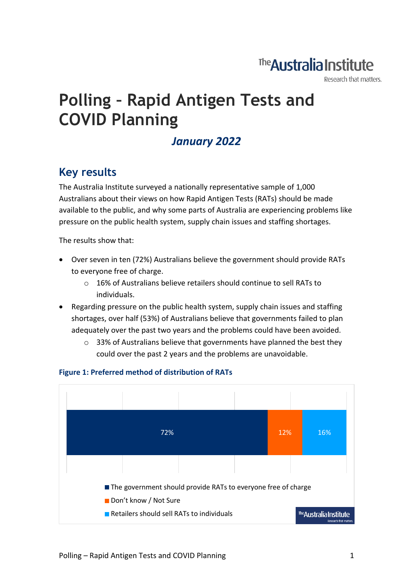## The Australia Institute

Research that matters.

# **Polling – Rapid Antigen Tests and COVID Planning**

### *January 2022*

### **Key results**

The Australia Institute surveyed a nationally representative sample of 1,000 Australians about their views on how Rapid Antigen Tests (RATs) should be made available to the public, and why some parts of Australia are experiencing problems like pressure on the public health system, supply chain issues and staffing shortages.

The results show that:

- Over seven in ten (72%) Australians believe the government should provide RATs to everyone free of charge.
	- o 16% of Australians believe retailers should continue to sell RATs to individuals.
- Regarding pressure on the public health system, supply chain issues and staffing shortages, over half (53%) of Australians believe that governments failed to plan adequately over the past two years and the problems could have been avoided.
	- o 33% of Australians believe that governments have planned the best they could over the past 2 years and the problems are unavoidable.



#### **Figure 1: Preferred method of distribution of RATs**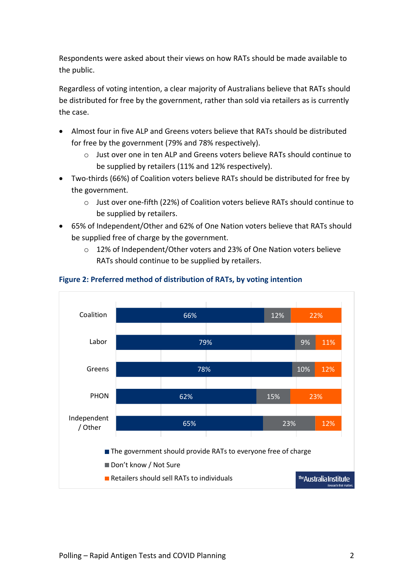Respondents were asked about their views on how RATs should be made available to the public.

Regardless of voting intention, a clear majority of Australians believe that RATs should be distributed for free by the government, rather than sold via retailers as is currently the case.

- Almost four in five ALP and Greens voters believe that RATs should be distributed for free by the government (79% and 78% respectively).
	- o Just over one in ten ALP and Greens voters believe RATs should continue to be supplied by retailers (11% and 12% respectively).
- Two-thirds (66%) of Coalition voters believe RATs should be distributed for free by the government.
	- o Just over one-fifth (22%) of Coalition voters believe RATs should continue to be supplied by retailers.
- 65% of Independent/Other and 62% of One Nation voters believe that RATs should be supplied free of charge by the government.
	- o 12% of Independent/Other voters and 23% of One Nation voters believe RATs should continue to be supplied by retailers.



#### **Figure 2: Preferred method of distribution of RATs, by voting intention**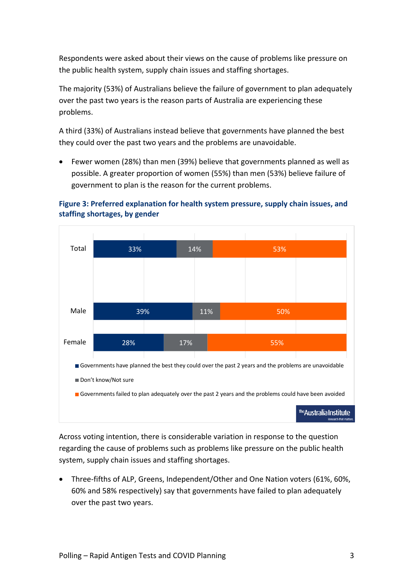Respondents were asked about their views on the cause of problems like pressure on the public health system, supply chain issues and staffing shortages.

The majority (53%) of Australians believe the failure of government to plan adequately over the past two years is the reason parts of Australia are experiencing these problems.

A third (33%) of Australians instead believe that governments have planned the best they could over the past two years and the problems are unavoidable.

• Fewer women (28%) than men (39%) believe that governments planned as well as possible. A greater proportion of women (55%) than men (53%) believe failure of government to plan is the reason for the current problems.





Across voting intention, there is considerable variation in response to the question regarding the cause of problems such as problems like pressure on the public health system, supply chain issues and staffing shortages.

• Three-fifths of ALP, Greens, Independent/Other and One Nation voters (61%, 60%, 60% and 58% respectively) say that governments have failed to plan adequately over the past two years.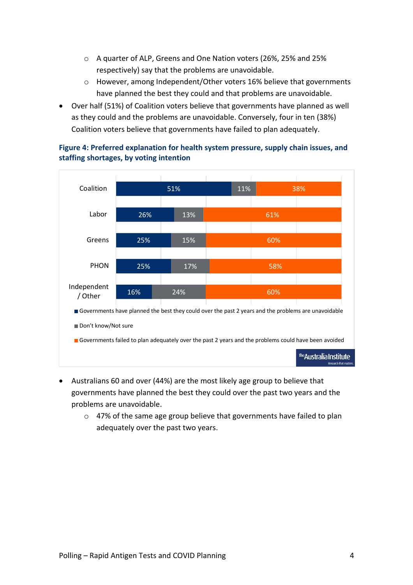- o A quarter of ALP, Greens and One Nation voters (26%, 25% and 25% respectively) say that the problems are unavoidable.
- o However, among Independent/Other voters 16% believe that governments have planned the best they could and that problems are unavoidable.
- Over half (51%) of Coalition voters believe that governments have planned as well as they could and the problems are unavoidable. Conversely, four in ten (38%) Coalition voters believe that governments have failed to plan adequately.



#### **Figure 4: Preferred explanation for health system pressure, supply chain issues, and staffing shortages, by voting intention**

- Australians 60 and over (44%) are the most likely age group to believe that governments have planned the best they could over the past two years and the problems are unavoidable.
	- o 47% of the same age group believe that governments have failed to plan adequately over the past two years.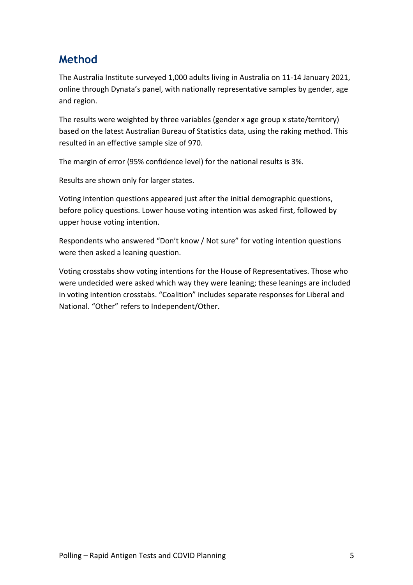### **Method**

The Australia Institute surveyed 1,000 adults living in Australia on 11-14 January 2021, online through Dynata's panel, with nationally representative samples by gender, age and region.

The results were weighted by three variables (gender x age group x state/territory) based on the latest Australian Bureau of Statistics data, using the raking method. This resulted in an effective sample size of 970.

The margin of error (95% confidence level) for the national results is 3%.

Results are shown only for larger states.

Voting intention questions appeared just after the initial demographic questions, before policy questions. Lower house voting intention was asked first, followed by upper house voting intention.

Respondents who answered "Don't know / Not sure" for voting intention questions were then asked a leaning question.

Voting crosstabs show voting intentions for the House of Representatives. Those who were undecided were asked which way they were leaning; these leanings are included in voting intention crosstabs. "Coalition" includes separate responses for Liberal and National. "Other" refers to Independent/Other.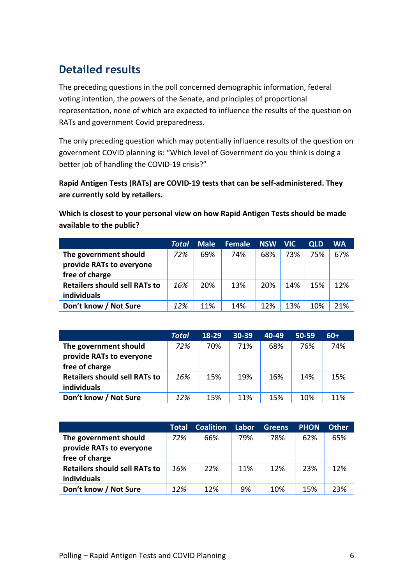### **Detailed results**

The preceding questions in the poll concerned demographic information, federal voting intention, the powers of the Senate, and principles of proportional representation, none of which are expected to influence the results of the question on RATs and government Covid preparedness.

The only preceding question which may potentially influence results of the question on government COVID planning is: "Which level of Government do you think is doing a better job of handling the COVID-19 crisis?"

**Rapid Antigen Tests (RATs) are COVID-19 tests that can be self-administered. They are currently sold by retailers.**

**Which is closest to your personal view on how Rapid Antigen Tests should be made available to the public?**

|                                      | Total | <b>Male</b> | <b>Female</b> | <b>NSW</b> | <b>NIC</b> | <b>QLD</b> | <b>WA</b> |
|--------------------------------------|-------|-------------|---------------|------------|------------|------------|-----------|
| The government should                | 72%   | 69%         | 74%           | 68%        | 73%        | 75%        | 67%       |
| provide RATs to everyone             |       |             |               |            |            |            |           |
| free of charge                       |       |             |               |            |            |            |           |
| <b>Retailers should sell RATs to</b> | 16%   | 20%         | 13%           | 20%        | 14%        | 15%        | 12%       |
| individuals                          |       |             |               |            |            |            |           |
| Don't know / Not Sure                | 12%   | 11%         | 14%           | 12%        | 13%        | 10%        | 21%       |

|                                      | <b>Total</b> | 18-29 | $30-39$ | 40-49 | 50-59 | $60+$ |
|--------------------------------------|--------------|-------|---------|-------|-------|-------|
| The government should                | 72%          | 70%   | 71%     | 68%   | 76%   | 74%   |
| provide RATs to everyone             |              |       |         |       |       |       |
| free of charge                       |              |       |         |       |       |       |
| <b>Retailers should sell RATs to</b> | 16%          | 15%   | 19%     | 16%   | 14%   | 15%   |
| individuals                          |              |       |         |       |       |       |
| Don't know / Not Sure                | 12%          | 15%   | 11%     | 15%   | 10%   | 11%   |

|                                      | Total | <b>Coalition</b> | Labor | <b>Greens</b> | <b>PHON</b> | <b>Other</b> |
|--------------------------------------|-------|------------------|-------|---------------|-------------|--------------|
| The government should                | 72%   | 66%              | 79%   | 78%           | 62%         | 65%          |
| provide RATs to everyone             |       |                  |       |               |             |              |
| free of charge                       |       |                  |       |               |             |              |
| <b>Retailers should sell RATs to</b> | 16%   | 22%              | 11%   | 12%           | 23%         | 12%          |
| individuals                          |       |                  |       |               |             |              |
| Don't know / Not Sure                | 12%   | 12%              | 9%    | 10%           | 15%         | 23%          |